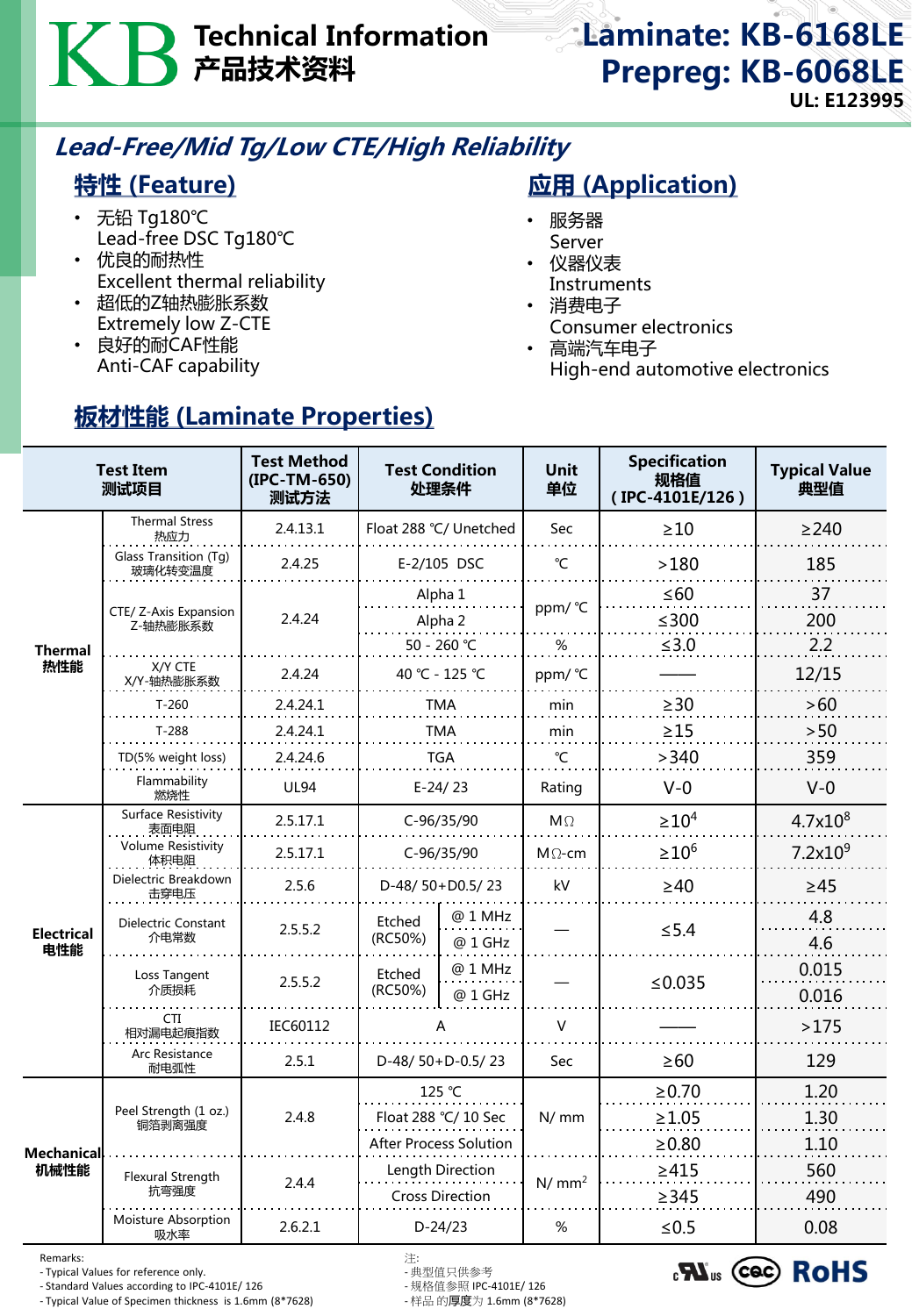# Technical Information 产品技术资料

### Laminate: KB-6168LE Prepreg: KB-6068LE UL: E123995

## Lead-Free/Mid Tg/Low CTE/High Reliability

#### 特性 (Feature)

- 无铅 Tg180℃ Lead-free DSC Tg180℃
- 优良的耐热性 Excellent thermal reliability

板材性能 (Laminate Properties)

- 超低的Z轴热膨胀系数 Extremely low Z-CTE
- 良好的耐CAF性能 Anti-CAF capability

## **应用 (Application)**

- 服务器 Server
- 仪器仪表 **Instruments**
- 消费电子
	- Consumer electronics
- 高端汽车电子 High-end automotive electronics

| <b>Test Item</b><br>测试项目  |                                    | <b>Test Method</b><br>(IPC-TM-650)<br>测试方法 | <b>Test Condition</b><br>处理条件              |                    | <b>Unit</b><br>单位 | <b>Specification</b><br>规格值<br>(IPC-4101E/126) | <b>Typical Value</b><br>典型值 |
|---------------------------|------------------------------------|--------------------------------------------|--------------------------------------------|--------------------|-------------------|------------------------------------------------|-----------------------------|
| <b>Thermal</b><br>热性能     | <b>Thermal Stress</b><br>热应力       | 2.4.13.1                                   | Float 288 °C/ Unetched                     |                    | Sec               | $\geq 10$                                      | $\geq$ 240                  |
|                           | Glass Transition (Tg)<br>玻璃化转变温度   | 2.4.25                                     | E-2/105 DSC                                |                    | °C                | >180                                           | 185                         |
|                           |                                    | 2.4.24                                     | Alpha 1                                    |                    | ppm/ °C           | $\leq 60$                                      | 37                          |
|                           | CTE/ Z-Axis Expansion<br>Z-轴热膨胀系数  |                                            | Alpha 2                                    |                    |                   | $≤300$                                         | 200                         |
|                           |                                    |                                            | 50 - 260 ℃                                 |                    | %                 | $\leq 3.0$                                     | 2.2                         |
|                           | X/Y CTE<br>X/Y-轴热膨胀系数              | 2.4.24                                     | 40 °C - 125 °C                             |                    | ppm/ °C           |                                                | 12/15                       |
|                           | $T-260$                            | 2.4.24.1                                   | <b>TMA</b>                                 |                    | min               | $\geq$ 30                                      | >60                         |
|                           | $T-288$                            | 2.4.24.1                                   | <b>TMA</b>                                 |                    | min               | $\geq$ 15                                      | >50                         |
|                           | TD(5% weight loss)                 | 2.4.24.6                                   | <b>TGA</b>                                 |                    | °C                | >340                                           | 359                         |
|                           | Flammability<br>燃烧性                | <b>UL94</b>                                | $E-24/23$                                  |                    | Rating            | $V - 0$                                        | $V-0$                       |
| <b>Electrical</b><br>电性能  | <b>Surface Resistivity</b><br>表面电阻 | 2.5.17.1                                   | C-96/35/90                                 |                    | $M\Omega$         | $\geq 10^4$                                    | $4.7x10^{8}$                |
|                           | <b>Volume Resistivity</b><br>体积电阻  | 2.5.17.1                                   | C-96/35/90                                 |                    | $M \Omega$ -cm    | $\geq 10^6$                                    | 7.2x10 <sup>9</sup>         |
|                           | Dielectric Breakdown<br>击穿电压       | 2.5.6                                      | D-48/50+D0.5/23                            |                    | kV                | $\geq 40$                                      | $\geq 45$                   |
|                           | Dielectric Constant<br>介电常数        | 2.5.5.2                                    | Etched<br>(RC50%)                          | @ 1 MHz<br>@ 1 GHz |                   | $\leq 5.4$                                     | 4.8<br>4.6                  |
|                           | Loss Tangent<br>介质损耗               | 2.5.5.2                                    | Etched<br>(RC50%)                          | @ 1 MHz<br>@ 1 GHz |                   | ≤ $0.035$                                      | 0.015<br>0.016              |
|                           | <b>CTI</b><br>相对漏电起痕指数             | IEC60112                                   | А                                          |                    | $\vee$            |                                                | >175                        |
|                           | Arc Resistance<br>耐电弧性             | 2.5.1                                      | D-48/50+D-0.5/23                           |                    | Sec               | $\geq 60$                                      | 129                         |
| <b>Mechanical</b><br>机械性能 | Peel Strength (1 oz.)<br>铜箔剥离强度    | 2.4.8                                      | 125 °C                                     |                    | N/mm              | $\geq 0.70$                                    | 1.20                        |
|                           |                                    |                                            | Float 288 °C/ 10 Sec                       |                    |                   | $\geq 1.05$                                    | 1.30                        |
|                           |                                    |                                            | After Process Solution                     |                    |                   | $\geq 0.80$                                    | 1.10                        |
|                           | <b>Flexural Strength</b><br>抗弯强度   | 2.4.4                                      | Length Direction<br><b>Cross Direction</b> |                    | N/mm <sup>2</sup> | $\geq 415$<br>$\geq$ 345                       | 560<br>490                  |
|                           | Moisture Absorption<br>吸水率         | 2.6.2.1                                    | $D-24/23$                                  |                    | %                 | $≤ 0.5$                                        | 0.08                        |

Remarks: 注:

- Typical Values for reference only. - 典型值只供参考

- Standard Values according to IPC-4101E/ 126 - 规格值参照 IPC-4101E/ 126 - Typical Value of Specimen thickness is 1.6mm (8\*7628)

 $_{c}$ N<sub>us</sub> (cec) RoHS